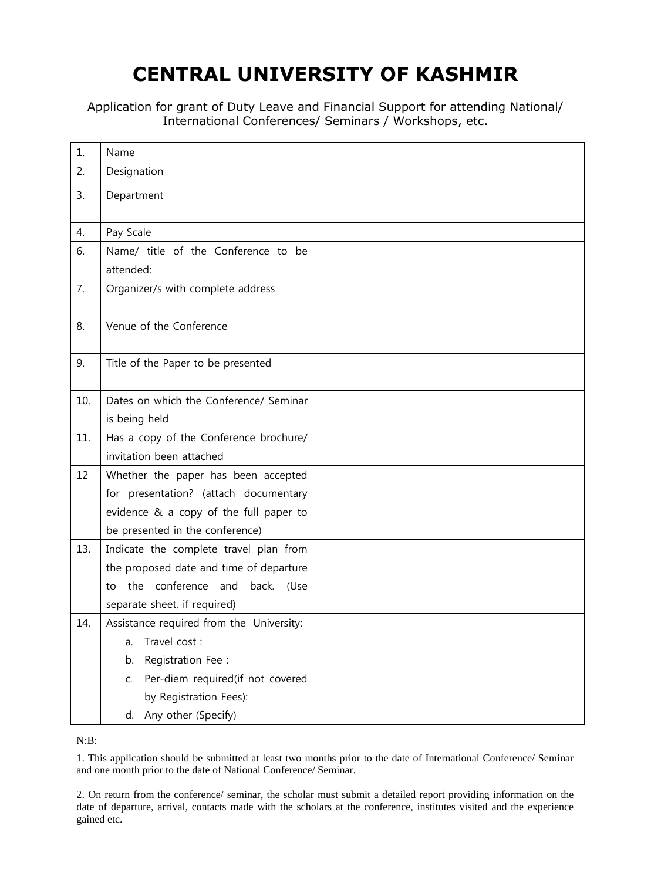## **CENTRAL UNIVERSITY OF KASHMIR**

Application for grant of Duty Leave and Financial Support for attending National/ International Conferences/ Seminars / Workshops, etc.

| 1.  | Name                                             |  |
|-----|--------------------------------------------------|--|
| 2.  | Designation                                      |  |
| 3.  | Department                                       |  |
| 4.  | Pay Scale                                        |  |
| 6.  | Name/ title of the Conference to be<br>attended: |  |
| 7.  | Organizer/s with complete address                |  |
| 8.  | Venue of the Conference                          |  |
| 9.  | Title of the Paper to be presented               |  |
| 10. | Dates on which the Conference/ Seminar           |  |
|     | is being held                                    |  |
| 11. | Has a copy of the Conference brochure/           |  |
|     | invitation been attached                         |  |
| 12  | Whether the paper has been accepted              |  |
|     | for presentation? (attach documentary            |  |
|     | evidence & a copy of the full paper to           |  |
|     | be presented in the conference)                  |  |
| 13. | Indicate the complete travel plan from           |  |
|     | the proposed date and time of departure          |  |
|     | the conference and back. (Use<br>to              |  |
|     | separate sheet, if required)                     |  |
| 14. | Assistance required from the University:         |  |
|     | Travel cost:<br>a.                               |  |
|     | Registration Fee:<br>b.                          |  |
|     | Per-diem required(if not covered<br>C.           |  |
|     | by Registration Fees):                           |  |
|     | d. Any other (Specify)                           |  |

N:B:

1. This application should be submitted at least two months prior to the date of International Conference/ Seminar and one month prior to the date of National Conference/ Seminar.

2. On return from the conference/ seminar, the scholar must submit a detailed report providing information on the date of departure, arrival, contacts made with the scholars at the conference, institutes visited and the experience gained etc.